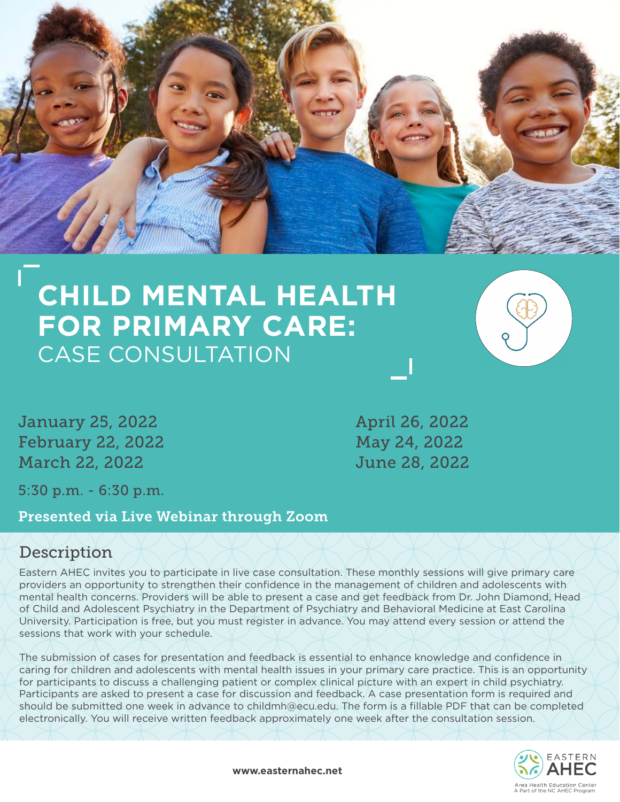

# **Child Mental Health for Primary Care:** Case consultation



January 25, 2022 February 22, 2022 March 22, 2022

April 26, 2022 May 24, 2022 June 28, 2022

5:30 p.m. - 6:30 p.m.

Presented via Live Webinar through Zoom

#### Description

Eastern AHEC invites you to participate in live case consultation. These monthly sessions will give primary care providers an opportunity to strengthen their confidence in the management of children and adolescents with mental health concerns. Providers will be able to present a case and get feedback from Dr. John Diamond, Head of Child and Adolescent Psychiatry in the Department of Psychiatry and Behavioral Medicine at East Carolina University. Participation is free, but you must register in advance. You may attend every session or attend the sessions that work with your schedule.

The submission of cases for presentation and feedback is essential to enhance knowledge and confidence in caring for children and adolescents with mental health issues in your primary care practice. This is an opportunity for participants to discuss a challenging patient or complex clinical picture with an expert in child psychiatry. Participants are asked to present a case for discussion and feedback. A case presentation form is required and should be submitted one week in advance to childmh@ecu.edu. The form is a fillable PDF that can be completed electronically. You will receive written feedback approximately one week after the consultation session.